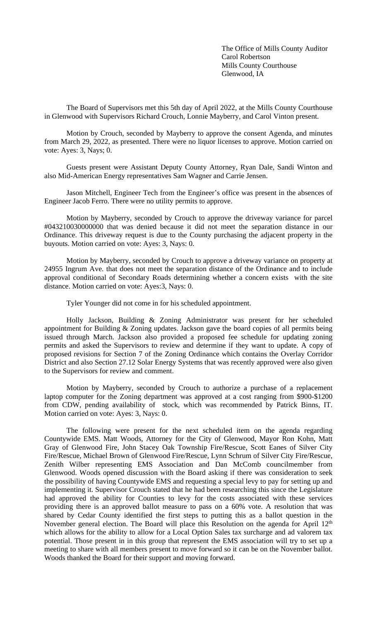The Office of Mills County Auditor Carol Robertson Mills County Courthouse Glenwood, IA

The Board of Supervisors met this 5th day of April 2022, at the Mills County Courthouse in Glenwood with Supervisors Richard Crouch, Lonnie Mayberry, and Carol Vinton present.

Motion by Crouch, seconded by Mayberry to approve the consent Agenda, and minutes from March 29, 2022, as presented. There were no liquor licenses to approve. Motion carried on vote: Ayes: 3, Nays; 0.

Guests present were Assistant Deputy County Attorney, Ryan Dale, Sandi Winton and also Mid-American Energy representatives Sam Wagner and Carrie Jensen.

Jason Mitchell, Engineer Tech from the Engineer's office was present in the absences of Engineer Jacob Ferro. There were no utility permits to approve.

Motion by Mayberry, seconded by Crouch to approve the driveway variance for parcel #043210030000000 that was denied because it did not meet the separation distance in our Ordinance. This driveway request is due to the County purchasing the adjacent property in the buyouts. Motion carried on vote: Ayes: 3, Nays: 0.

Motion by Mayberry, seconded by Crouch to approve a driveway variance on property at 24955 Ingrum Ave. that does not meet the separation distance of the Ordinance and to include approval conditional of Secondary Roads determining whether a concern exists with the site distance. Motion carried on vote: Ayes:3, Nays: 0.

Tyler Younger did not come in for his scheduled appointment.

Holly Jackson, Building & Zoning Administrator was present for her scheduled appointment for Building & Zoning updates. Jackson gave the board copies of all permits being issued through March. Jackson also provided a proposed fee schedule for updating zoning permits and asked the Supervisors to review and determine if they want to update. A copy of proposed revisions for Section 7 of the Zoning Ordinance which contains the Overlay Corridor District and also Section 27.12 Solar Energy Systems that was recently approved were also given to the Supervisors for review and comment.

Motion by Mayberry, seconded by Crouch to authorize a purchase of a replacement laptop computer for the Zoning department was approved at a cost ranging from \$900-\$1200 from CDW, pending availability of stock, which was recommended by Patrick Binns, IT. Motion carried on vote: Ayes: 3, Nays: 0.

The following were present for the next scheduled item on the agenda regarding Countywide EMS. Matt Woods, Attorney for the City of Glenwood, Mayor Ron Kohn, Matt Gray of Glenwood Fire, John Stacey Oak Township Fire/Rescue, Scott Eanes of Silver City Fire/Rescue, Michael Brown of Glenwood Fire/Rescue, Lynn Schrum of Silver City Fire/Rescue, Zenith Wilber representing EMS Association and Dan McComb councilmember from Glenwood. Woods opened discussion with the Board asking if there was consideration to seek the possibility of having Countywide EMS and requesting a special levy to pay for setting up and implementing it. Supervisor Crouch stated that he had been researching this since the Legislature had approved the ability for Counties to levy for the costs associated with these services providing there is an approved ballot measure to pass on a 60% vote. A resolution that was shared by Cedar County identified the first steps to putting this as a ballot question in the November general election. The Board will place this Resolution on the agenda for April 12<sup>th</sup> which allows for the ability to allow for a Local Option Sales tax surcharge and ad valorem tax potential. Those present in in this group that represent the EMS association will try to set up a meeting to share with all members present to move forward so it can be on the November ballot. Woods thanked the Board for their support and moving forward.